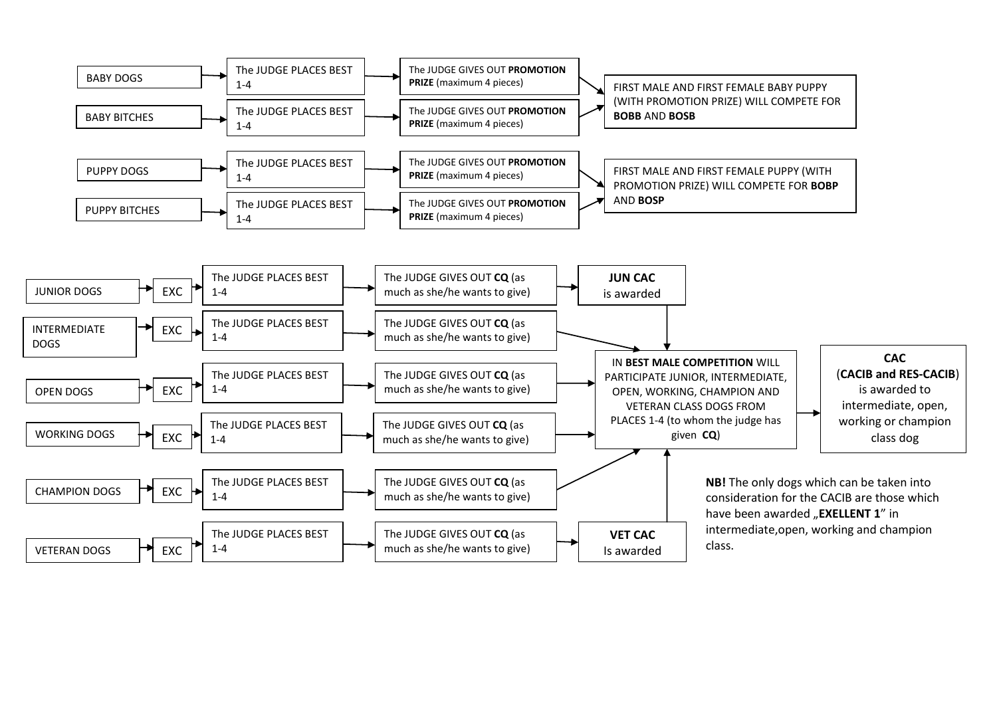